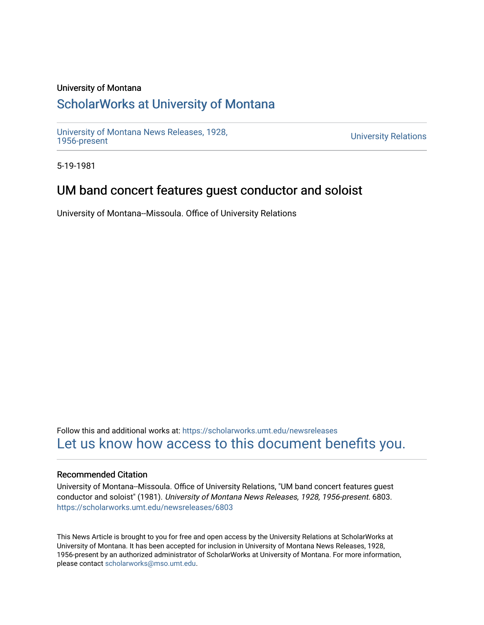#### University of Montana

# [ScholarWorks at University of Montana](https://scholarworks.umt.edu/)

[University of Montana News Releases, 1928,](https://scholarworks.umt.edu/newsreleases) 

**University Relations** 

5-19-1981

## UM band concert features guest conductor and soloist

University of Montana--Missoula. Office of University Relations

Follow this and additional works at: [https://scholarworks.umt.edu/newsreleases](https://scholarworks.umt.edu/newsreleases?utm_source=scholarworks.umt.edu%2Fnewsreleases%2F6803&utm_medium=PDF&utm_campaign=PDFCoverPages) [Let us know how access to this document benefits you.](https://goo.gl/forms/s2rGfXOLzz71qgsB2) 

#### Recommended Citation

University of Montana--Missoula. Office of University Relations, "UM band concert features guest conductor and soloist" (1981). University of Montana News Releases, 1928, 1956-present. 6803. [https://scholarworks.umt.edu/newsreleases/6803](https://scholarworks.umt.edu/newsreleases/6803?utm_source=scholarworks.umt.edu%2Fnewsreleases%2F6803&utm_medium=PDF&utm_campaign=PDFCoverPages) 

This News Article is brought to you for free and open access by the University Relations at ScholarWorks at University of Montana. It has been accepted for inclusion in University of Montana News Releases, 1928, 1956-present by an authorized administrator of ScholarWorks at University of Montana. For more information, please contact [scholarworks@mso.umt.edu.](mailto:scholarworks@mso.umt.edu)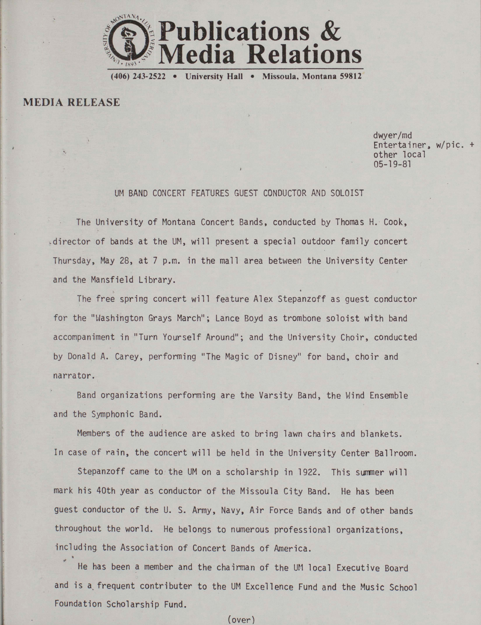

**(406) 243-2522 • University Hall • Missoula, Montana 59812** 

**MEDIA RELEASE**

% \*

dwyer/md Entertainer, w/pic. + other local<br>05-19-81 05-19-81 *•* <sup>i</sup>

# UM BAND CONCERT FEATURES GUEST CONDUCTOR AND SOLOIST

The University of Montana Concert Bands, conducted by Thomas H. Cook, .director of bands at the UM, will present a special outdoor family concert Thursday, May 28, at 7 p.m. in the mall area between the University Center and the Mansfield Library.<br>The free spring conce

The free spring concert will feature Alex Stepanzoff as guest conductor for the "Washington Grays March"; Lance Boyd as trombone soloist with band accompaniment in "Turn Yourself Around"; and the University Choir, conducted by Donald A. Carey, performing "The Magic of Disney" for band, choir and narrator.

Band organizations performing are the Varsity Band, the Wind Ensemble and the Symphonic Band.

Members of the audience are asked to bring lawn chairs and blankets. In case of rain, the concert will be held in the University Center Ballroom.

Stepanzoff came to the UM on a scholarship in 1922. This summer will mark his 40th year as conductor of the Missoula City Band. He has been guest conductor of the U. S. Army, Navy, Air Force Bands and of other bands throughout the world. He belongs to numerous professional organizations, including the Association of Concert Bands of America.

He has been a member and the chairman of the UM local Executive Board and is a frequent contributer to the UM Excellence Fund and the Music School Foundation Scholarship Fund.

(over)